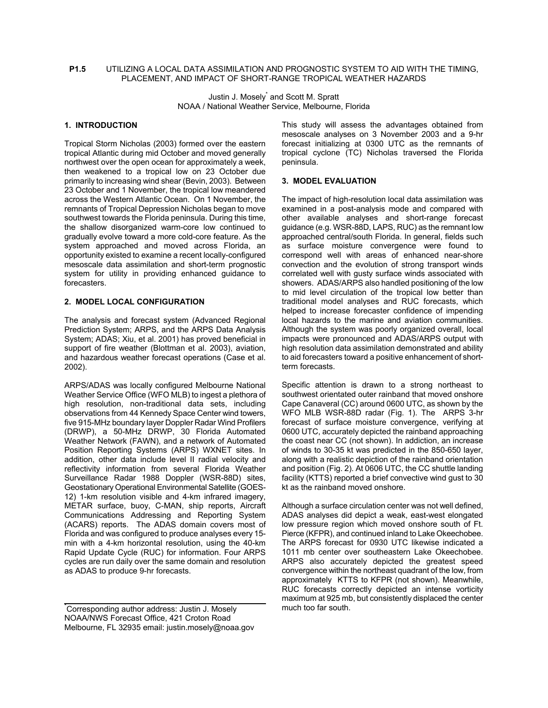#### **P1.5** UTILIZING A LOCAL DATA ASSIMILATION AND PROGNOSTIC SYSTEM TO AID WITH THE TIMING, PLACEMENT, AND IMPACT OF SHORT-RANGE TROPICAL WEATHER HAZARDS

Justin J. Mosely<sup>\*</sup> and Scott M. Spratt NOAA / National Weather Service, Melbourne, Florida

# **1. INTRODUCTION**

Tropical Storm Nicholas (2003) formed over the eastern tropical Atlantic during mid October and moved generally northwest over the open ocean for approximately a week, then weakened to a tropical low on 23 October due primarily to increasing wind shear (Bevin, 2003). Between 23 October and 1 November, the tropical low meandered across the Western Atlantic Ocean. On 1 November, the remnants of Tropical Depression Nicholas began to move southwest towards the Florida peninsula. During this time, the shallow disorganized warm-core low continued to gradually evolve toward a more cold-core feature. As the system approached and moved across Florida, an opportunity existed to examine a recent locally-configured mesoscale data assimilation and short-term prognostic system for utility in providing enhanced guidance to forecasters.

# **2. MODEL LOCAL CONFIGURATION**

The analysis and forecast system (Advanced Regional Prediction System; ARPS, and the ARPS Data Analysis System; ADAS; Xiu, et al. 2001) has proved beneficial in support of fire weather (Blottman et al. 2003), aviation, and hazardous weather forecast operations (Case et al. 2002).

ARPS/ADAS was locally configured Melbourne National Weather Service Office (WFO MLB) to ingest a plethora of high resolution, non-traditional data sets, including observations from 44 Kennedy Space Center wind towers, five 915-MHz boundary layer Doppler Radar Wind Profilers (DRWP), a 50-MHz DRWP, 30 Florida Automated Weather Network (FAWN), and a network of Automated Position Reporting Systems (ARPS) WXNET sites. In addition, other data include level II radial velocity and reflectivity information from several Florida Weather Surveillance Radar 1988 Doppler (WSR-88D) sites, Geostationary Operational Environmental Satellite (GOES-12) 1-km resolution visible and 4-km infrared imagery, METAR surface, buoy, C-MAN, ship reports, Aircraft Communications Addressing and Reporting System (ACARS) reports. The ADAS domain covers most of Florida and was configured to produce analyses every 15 min with a 4-km horizontal resolution, using the 40-km Rapid Update Cycle (RUC) for information. Four ARPS cycles are run daily over the same domain and resolution as ADAS to produce 9-hr forecasts.

This study will assess the advantages obtained from mesoscale analyses on 3 November 2003 and a 9-hr forecast initializing at 0300 UTC as the remnants of tropical cyclone (TC) Nicholas traversed the Florida peninsula.

### **3. MODEL EVALUATION**

The impact of high-resolution local data assimilation was examined in a post-analysis mode and compared with other available analyses and short-range forecast guidance (e.g. WSR-88D, LAPS, RUC) as the remnant low approached central/south Florida. In general, fields such as surface moisture convergence were found to correspond well with areas of enhanced near-shore convection and the evolution of strong transport winds correlated well with gusty surface winds associated with showers. ADAS/ARPS also handled positioning of the low to mid level circulation of the tropical low better than traditional model analyses and RUC forecasts, which helped to increase forecaster confidence of impending local hazards to the marine and aviation communities. Although the system was poorly organized overall, local impacts were pronounced and ADAS/ARPS output with high resolution data assimilation demonstrated and ability to aid forecasters toward a positive enhancement of shortterm forecasts.

Specific attention is drawn to a strong northeast to southwest orientated outer rainband that moved onshore Cape Canaveral (CC) around 0600 UTC, as shown by the WFO MLB WSR-88D radar (Fig. 1). The ARPS 3-hr forecast of surface moisture convergence, verifying at 0600 UTC, accurately depicted the rainband approaching the coast near CC (not shown). In addiction, an increase of winds to 30-35 kt was predicted in the 850-650 layer, along with a realistic depiction of the rainband orientation and position (Fig. 2). At 0606 UTC, the CC shuttle landing facility (KTTS) reported a brief convective wind gust to 30 kt as the rainband moved onshore.

Although a surface circulation center was not well defined, ADAS analyses did depict a weak, east-west elongated low pressure region which moved onshore south of Ft. Pierce (KFPR), and continued inland to Lake Okeechobee. The ARPS forecast for 0930 UTC likewise indicated a 1011 mb center over southeastern Lake Okeechobee. ARPS also accurately depicted the greatest speed convergence within the northeast quadrant of the low, from approximately KTTS to KFPR (not shown). Meanwhile, RUC forecasts correctly depicted an intense vorticity maximum at 925 mb, but consistently displaced the center much too far south.

<sup>\*</sup> Corresponding author address: Justin J. Mosely NOAA/NWS Forecast Office, 421 Croton Road Melbourne, FL 32935 email: justin.mosely@noaa.gov